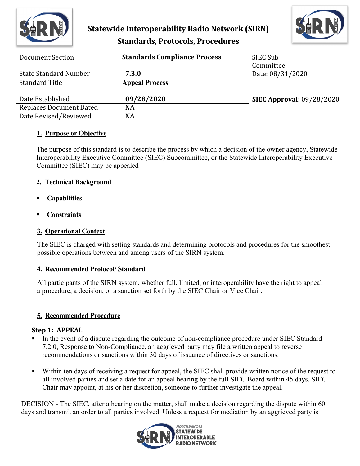

# **Statewide Interoperability Radio Network (SIRN) Standards, Protocols, Procedures**



| Document Section               | <b>Standards Compliance Process</b> | SIEC Sub<br>Committee            |
|--------------------------------|-------------------------------------|----------------------------------|
| <b>State Standard Number</b>   | 7.3.0                               | Date: 08/31/2020                 |
| <b>Standard Title</b>          | <b>Appeal Process</b>               |                                  |
| Date Established               | 09/28/2020                          | <b>SIEC Approval: 09/28/2020</b> |
| <b>Replaces Document Dated</b> | <b>NA</b>                           |                                  |
| Date Revised/Reviewed          | <b>NA</b>                           |                                  |

#### **1. Purpose or Objective**

The purpose of this standard is to describe the process by which a decision of the owner agency, Statewide Interoperability Executive Committee (SIEC) Subcommittee, or the Statewide Interoperability Executive Committee (SIEC) may be appealed

#### **2. Technical Background**

- **Capabilities**
- **Constraints**

### **3. Operational Context**

The SIEC is charged with setting standards and determining protocols and procedures for the smoothest possible operations between and among users of the SIRN system.

## **4. Recommended Protocol/ Standard**

All participants of the SIRN system, whether full, limited, or interoperability have the right to appeal a procedure, a decision, or a sanction set forth by the SIEC Chair or Vice Chair.

## **5. Recommended Procedure**

#### **Step 1: APPEAL**

- In the event of a dispute regarding the outcome of non-compliance procedure under SIEC Standard 7.2.0, Response to Non-Compliance, an aggrieved party may file a written appeal to reverse recommendations or sanctions within 30 days of issuance of directives or sanctions.
- Within ten days of receiving a request for appeal, the SIEC shall provide written notice of the request to all involved parties and set a date for an appeal hearing by the full SIEC Board within 45 days. SIEC Chair may appoint, at his or her discretion, someone to further investigate the appeal.

DECISION - The SIEC, after a hearing on the matter, shall make a decision regarding the dispute within 60 days and transmit an order to all parties involved. Unless a request for mediation by an aggrieved party is